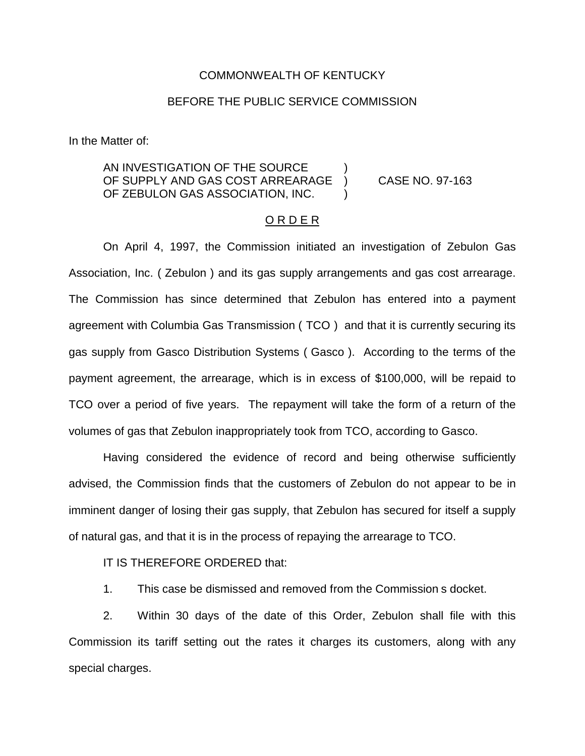## COMMONWEALTH OF KENTUCKY

## BEFORE THE PUBLIC SERVICE COMMISSION

In the Matter of:

## AN INVESTIGATION OF THE SOURCE OF SUPPLY AND GAS COST ARREARAGE ) CASE NO. 97-163 OF ZEBULON GAS ASSOCIATION, INC.

## O R D E R

On April 4, 1997, the Commission initiated an investigation of Zebulon Gas Association, Inc. ( Zebulon ) and its gas supply arrangements and gas cost arrearage. The Commission has since determined that Zebulon has entered into a payment agreement with Columbia Gas Transmission ( TCO ) and that it is currently securing its gas supply from Gasco Distribution Systems ( Gasco ). According to the terms of the payment agreement, the arrearage, which is in excess of \$100,000, will be repaid to TCO over a period of five years. The repayment will take the form of a return of the volumes of gas that Zebulon inappropriately took from TCO, according to Gasco.

Having considered the evidence of record and being otherwise sufficiently advised, the Commission finds that the customers of Zebulon do not appear to be in imminent danger of losing their gas supply, that Zebulon has secured for itself a supply of natural gas, and that it is in the process of repaying the arrearage to TCO.

IT IS THEREFORE ORDERED that:

1. This case be dismissed and removed from the Commission s docket.

2. Within 30 days of the date of this Order, Zebulon shall file with this Commission its tariff setting out the rates it charges its customers, along with any special charges.